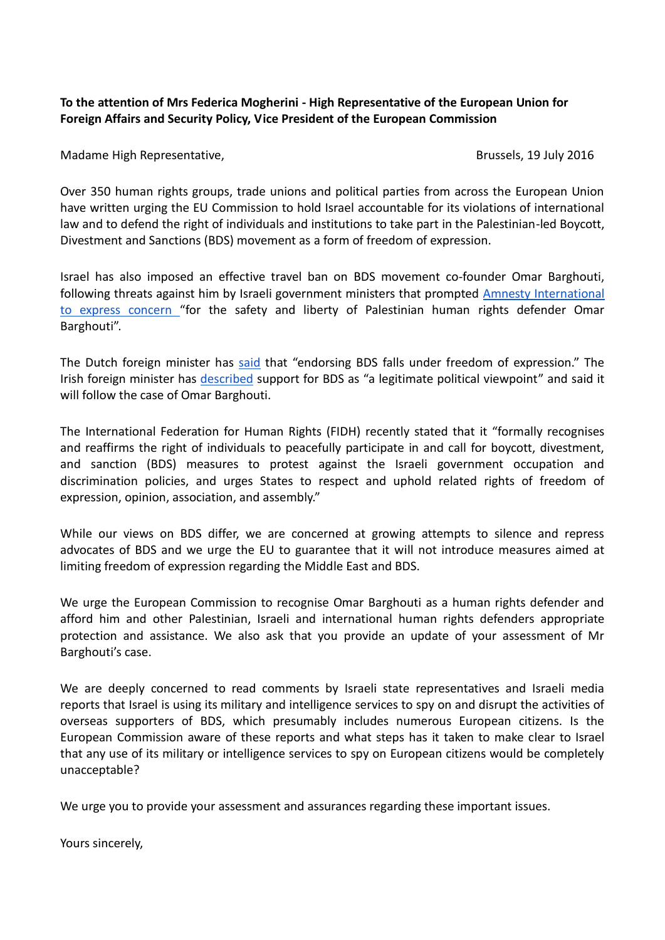## **To the attention of Mrs Federica Mogherini - High Representative of the European Union for Foreign Affairs and Security Policy, Vice President of the European Commission**

Madame High Representative, Brussels, 19 July 2016

Over 350 human rights groups, trade unions and political parties from across the European Union [have written](http://www.eccpalestine.org/wp-content/uploads/2016/05/endorsements-right2BDS.doc-27.pdf) urging the EU Commission to hold Israel accountable for its violations of international law and to defend the right of individuals and institutions to take part in the Palestinian-led Boycott, Divestment and Sanctions (BDS) movement as a form of freedom of expression.

Israel has also imposed an effective travel ban on BDS movement co-founder Omar Barghouti, following threats against him by Israeli government ministers that prompted [Amnesty International](http://www.amnestyusa.org/news/press-releases/israeli-government-must-cease-intimidation-of-human-rights-defenders-protect-them-from-attacks)  [to express concern](http://www.amnestyusa.org/news/press-releases/israeli-government-must-cease-intimidation-of-human-rights-defenders-protect-them-from-attacks) "for the safety and liberty of Palestinian human rights defender Omar Barghouti".

The Dutch foreign minister has [said](https://electronicintifada.net/blogs/michael-deas/bds-free-speech-says-dutch-government) that "endorsing BDS falls under freedom of expression." The Irish foreign minister has [described](http://oireachtasdebates.oireachtas.ie/debates%20authoring/debateswebpack.nsf/takes/dail2016052600033?opendocument) support for BDS as "a legitimate political viewpoint" and said it will follow the case of Omar Barghouti.

The International Federation for Human Rights (FIDH) recently stated that it "formally recognises and reaffirms the right of individuals to peacefully participate in and call for boycott, divestment, and sanction (BDS) measures to protest against the Israeli government occupation and discrimination policies, and urges States to respect and uphold related rights of freedom of expression, opinion, association, and assembly."

While our views on BDS differ, we are concerned at growing attempts to silence and repress advocates of BDS and we urge the EU to guarantee that it will not introduce measures aimed at limiting freedom of expression regarding the Middle East and BDS.

We urge the European Commission to recognise Omar Barghouti as a human rights defender and afford him and other Palestinian, Israeli and international human rights defenders appropriate protection and assistance. We also ask that you provide an update of your assessment of Mr Barghouti's case.

We are deeply concerned to read comments by Israeli state representatives and Israeli media reports that Israel is using its military and intelligence services to spy on and disrupt the activities of overseas supporters of BDS, which presumably includes numerous European citizens. Is the European Commission aware of these reports and what steps has it taken to make clear to Israel that any use of its military or intelligence services to spy on European citizens would be completely unacceptable?

We urge you to provide your assessment and assurances regarding these important issues.

Yours sincerely,